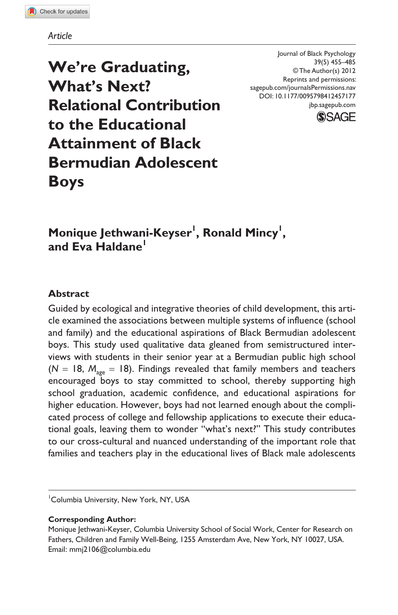#### *Article*

**We're Graduating, What's Next? Relational Contribution to the Educational Attainment of Black Bermudian Adolescent Boys**

Journal of Black Psychology 39(5) 455–485 © The Author(s) 2012 Reprints and permissions: sagepub.com/journalsPermissions.nav DOI: 10.1177/0095798412457177 jbp.sagepub.com



Monique Jethwani-Keyser<sup>I</sup>, Ronald Mincy<sup>I</sup>, and Eva Haldane<sup>1</sup>

### **Abstract**

Guided by ecological and integrative theories of child development, this article examined the associations between multiple systems of influence (school and family) and the educational aspirations of Black Bermudian adolescent boys. This study used qualitative data gleaned from semistructured interviews with students in their senior year at a Bermudian public high school ( $N = 18$ ,  $M_{\text{age}} = 18$ ). Findings revealed that family members and teachers encouraged boys to stay committed to school, thereby supporting high school graduation, academic confidence, and educational aspirations for higher education. However, boys had not learned enough about the complicated process of college and fellowship applications to execute their educational goals, leaving them to wonder "what's next?" This study contributes to our cross-cultural and nuanced understanding of the important role that families and teachers play in the educational lives of Black male adolescents

#### **Corresponding Author:**

<sup>1</sup> Columbia University, New York, NY, USA

Monique Jethwani-Keyser, Columbia University School of Social Work, Center for Research on Fathers, Children and Family Well-Being, 1255 Amsterdam Ave, New York, NY 10027, USA. Email: mmj2106@columbia.edu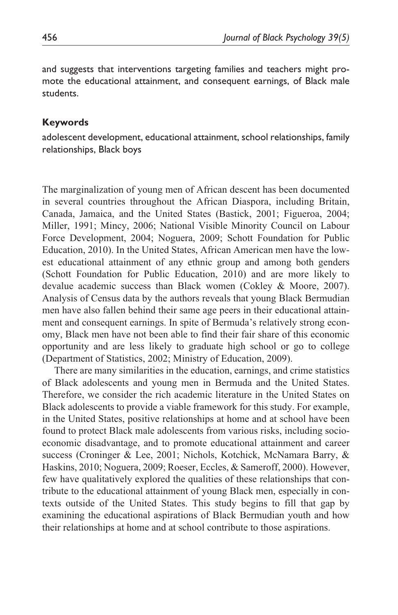and suggests that interventions targeting families and teachers might promote the educational attainment, and consequent earnings, of Black male students.

### **Keywords**

adolescent development, educational attainment, school relationships, family relationships, Black boys

The marginalization of young men of African descent has been documented in several countries throughout the African Diaspora, including Britain, Canada, Jamaica, and the United States (Bastick, 2001; Figueroa, 2004; Miller, 1991; Mincy, 2006; National Visible Minority Council on Labour Force Development, 2004; Noguera, 2009; Schott Foundation for Public Education, 2010). In the United States, African American men have the lowest educational attainment of any ethnic group and among both genders (Schott Foundation for Public Education, 2010) and are more likely to devalue academic success than Black women (Cokley & Moore, 2007). Analysis of Census data by the authors reveals that young Black Bermudian men have also fallen behind their same age peers in their educational attainment and consequent earnings. In spite of Bermuda's relatively strong economy, Black men have not been able to find their fair share of this economic opportunity and are less likely to graduate high school or go to college (Department of Statistics, 2002; Ministry of Education, 2009).

There are many similarities in the education, earnings, and crime statistics of Black adolescents and young men in Bermuda and the United States. Therefore, we consider the rich academic literature in the United States on Black adolescents to provide a viable framework for this study. For example, in the United States, positive relationships at home and at school have been found to protect Black male adolescents from various risks, including socioeconomic disadvantage, and to promote educational attainment and career success (Croninger & Lee, 2001; Nichols, Kotchick, McNamara Barry, & Haskins, 2010; Noguera, 2009; Roeser, Eccles, & Sameroff, 2000). However, few have qualitatively explored the qualities of these relationships that contribute to the educational attainment of young Black men, especially in contexts outside of the United States. This study begins to fill that gap by examining the educational aspirations of Black Bermudian youth and how their relationships at home and at school contribute to those aspirations.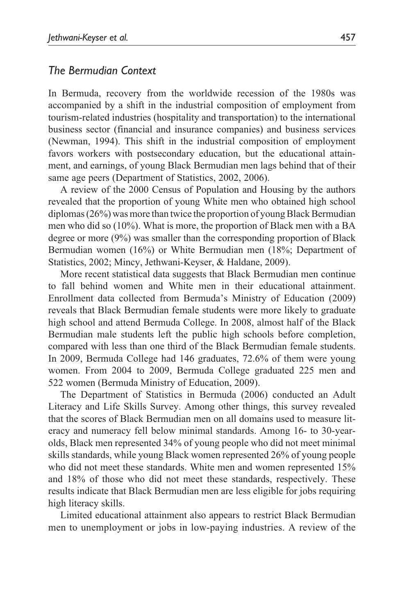#### *The Bermudian Context*

In Bermuda, recovery from the worldwide recession of the 1980s was accompanied by a shift in the industrial composition of employment from tourism-related industries (hospitality and transportation) to the international business sector (financial and insurance companies) and business services (Newman, 1994). This shift in the industrial composition of employment favors workers with postsecondary education, but the educational attainment, and earnings, of young Black Bermudian men lags behind that of their same age peers (Department of Statistics, 2002, 2006).

A review of the 2000 Census of Population and Housing by the authors revealed that the proportion of young White men who obtained high school diplomas (26%) was more than twice the proportion of young Black Bermudian men who did so (10%). What is more, the proportion of Black men with a BA degree or more (9%) was smaller than the corresponding proportion of Black Bermudian women (16%) or White Bermudian men (18%; Department of Statistics, 2002; Mincy, Jethwani-Keyser, & Haldane, 2009).

More recent statistical data suggests that Black Bermudian men continue to fall behind women and White men in their educational attainment. Enrollment data collected from Bermuda's Ministry of Education (2009) reveals that Black Bermudian female students were more likely to graduate high school and attend Bermuda College. In 2008, almost half of the Black Bermudian male students left the public high schools before completion, compared with less than one third of the Black Bermudian female students. In 2009, Bermuda College had 146 graduates, 72.6% of them were young women. From 2004 to 2009, Bermuda College graduated 225 men and 522 women (Bermuda Ministry of Education, 2009).

The Department of Statistics in Bermuda (2006) conducted an Adult Literacy and Life Skills Survey. Among other things, this survey revealed that the scores of Black Bermudian men on all domains used to measure literacy and numeracy fell below minimal standards. Among 16- to 30-yearolds, Black men represented 34% of young people who did not meet minimal skills standards, while young Black women represented 26% of young people who did not meet these standards. White men and women represented 15% and 18% of those who did not meet these standards, respectively. These results indicate that Black Bermudian men are less eligible for jobs requiring high literacy skills.

Limited educational attainment also appears to restrict Black Bermudian men to unemployment or jobs in low-paying industries. A review of the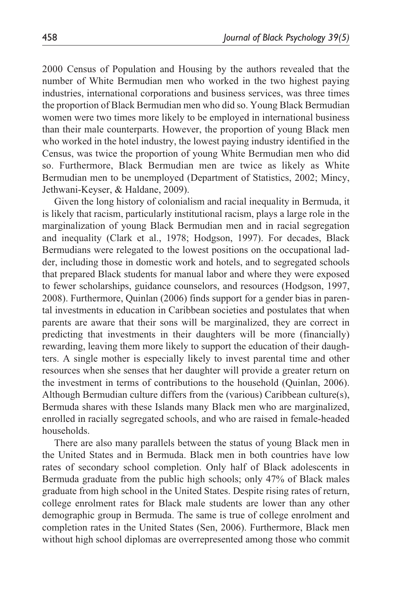2000 Census of Population and Housing by the authors revealed that the number of White Bermudian men who worked in the two highest paying industries, international corporations and business services, was three times the proportion of Black Bermudian men who did so. Young Black Bermudian women were two times more likely to be employed in international business than their male counterparts. However, the proportion of young Black men who worked in the hotel industry, the lowest paying industry identified in the Census, was twice the proportion of young White Bermudian men who did so. Furthermore, Black Bermudian men are twice as likely as White Bermudian men to be unemployed (Department of Statistics, 2002; Mincy, Jethwani-Keyser, & Haldane, 2009).

Given the long history of colonialism and racial inequality in Bermuda, it is likely that racism, particularly institutional racism, plays a large role in the marginalization of young Black Bermudian men and in racial segregation and inequality (Clark et al., 1978; Hodgson, 1997). For decades, Black Bermudians were relegated to the lowest positions on the occupational ladder, including those in domestic work and hotels, and to segregated schools that prepared Black students for manual labor and where they were exposed to fewer scholarships, guidance counselors, and resources (Hodgson, 1997, 2008). Furthermore, Quinlan (2006) finds support for a gender bias in parental investments in education in Caribbean societies and postulates that when parents are aware that their sons will be marginalized, they are correct in predicting that investments in their daughters will be more (financially) rewarding, leaving them more likely to support the education of their daughters. A single mother is especially likely to invest parental time and other resources when she senses that her daughter will provide a greater return on the investment in terms of contributions to the household (Quinlan, 2006). Although Bermudian culture differs from the (various) Caribbean culture(s), Bermuda shares with these Islands many Black men who are marginalized, enrolled in racially segregated schools, and who are raised in female-headed households.

There are also many parallels between the status of young Black men in the United States and in Bermuda. Black men in both countries have low rates of secondary school completion. Only half of Black adolescents in Bermuda graduate from the public high schools; only 47% of Black males graduate from high school in the United States. Despite rising rates of return, college enrolment rates for Black male students are lower than any other demographic group in Bermuda. The same is true of college enrolment and completion rates in the United States (Sen, 2006). Furthermore, Black men without high school diplomas are overrepresented among those who commit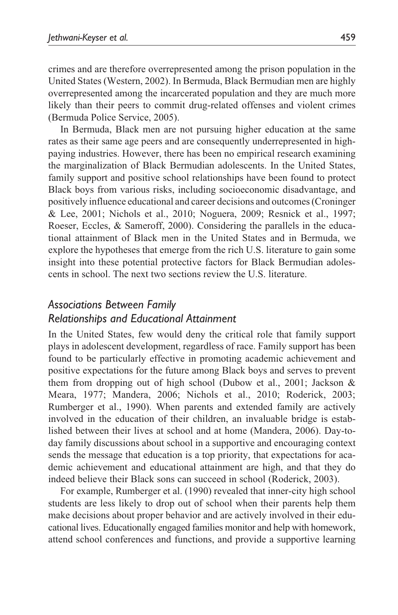crimes and are therefore overrepresented among the prison population in the United States (Western, 2002). In Bermuda, Black Bermudian men are highly overrepresented among the incarcerated population and they are much more likely than their peers to commit drug-related offenses and violent crimes (Bermuda Police Service, 2005).

In Bermuda, Black men are not pursuing higher education at the same rates as their same age peers and are consequently underrepresented in highpaying industries. However, there has been no empirical research examining the marginalization of Black Bermudian adolescents. In the United States, family support and positive school relationships have been found to protect Black boys from various risks, including socioeconomic disadvantage, and positively influence educational and career decisions and outcomes (Croninger & Lee, 2001; Nichols et al., 2010; Noguera, 2009; Resnick et al., 1997; Roeser, Eccles, & Sameroff, 2000). Considering the parallels in the educational attainment of Black men in the United States and in Bermuda, we explore the hypotheses that emerge from the rich U.S. literature to gain some insight into these potential protective factors for Black Bermudian adolescents in school. The next two sections review the U.S. literature.

# *Associations Between Family Relationships and Educational Attainment*

In the United States, few would deny the critical role that family support plays in adolescent development, regardless of race. Family support has been found to be particularly effective in promoting academic achievement and positive expectations for the future among Black boys and serves to prevent them from dropping out of high school (Dubow et al., 2001; Jackson & Meara, 1977; Mandera, 2006; Nichols et al., 2010; Roderick, 2003; Rumberger et al., 1990). When parents and extended family are actively involved in the education of their children, an invaluable bridge is established between their lives at school and at home (Mandera, 2006). Day-today family discussions about school in a supportive and encouraging context sends the message that education is a top priority, that expectations for academic achievement and educational attainment are high, and that they do indeed believe their Black sons can succeed in school (Roderick, 2003).

For example, Rumberger et al. (1990) revealed that inner-city high school students are less likely to drop out of school when their parents help them make decisions about proper behavior and are actively involved in their educational lives. Educationally engaged families monitor and help with homework, attend school conferences and functions, and provide a supportive learning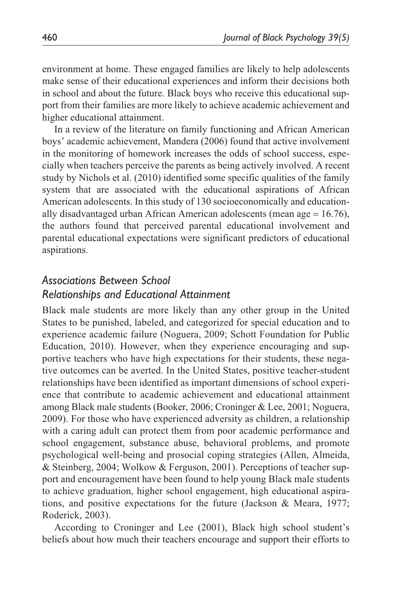environment at home. These engaged families are likely to help adolescents make sense of their educational experiences and inform their decisions both in school and about the future. Black boys who receive this educational support from their families are more likely to achieve academic achievement and higher educational attainment.

In a review of the literature on family functioning and African American boys' academic achievement, Mandera (2006) found that active involvement in the monitoring of homework increases the odds of school success, especially when teachers perceive the parents as being actively involved. A recent study by Nichols et al. (2010) identified some specific qualities of the family system that are associated with the educational aspirations of African American adolescents. In this study of 130 socioeconomically and educationally disadvantaged urban African American adolescents (mean age = 16.76), the authors found that perceived parental educational involvement and parental educational expectations were significant predictors of educational aspirations.

# *Associations Between School Relationships and Educational Attainment*

Black male students are more likely than any other group in the United States to be punished, labeled, and categorized for special education and to experience academic failure (Noguera, 2009; Schott Foundation for Public Education, 2010). However, when they experience encouraging and supportive teachers who have high expectations for their students, these negative outcomes can be averted. In the United States, positive teacher-student relationships have been identified as important dimensions of school experience that contribute to academic achievement and educational attainment among Black male students (Booker, 2006; Croninger & Lee, 2001; Noguera, 2009). For those who have experienced adversity as children, a relationship with a caring adult can protect them from poor academic performance and school engagement, substance abuse, behavioral problems, and promote psychological well-being and prosocial coping strategies (Allen, Almeida, & Steinberg, 2004; Wolkow & Ferguson, 2001). Perceptions of teacher support and encouragement have been found to help young Black male students to achieve graduation, higher school engagement, high educational aspirations, and positive expectations for the future (Jackson & Meara, 1977; Roderick, 2003).

According to Croninger and Lee (2001), Black high school student's beliefs about how much their teachers encourage and support their efforts to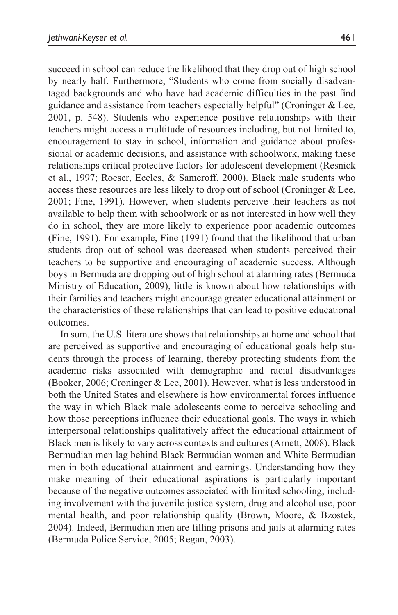succeed in school can reduce the likelihood that they drop out of high school by nearly half. Furthermore, "Students who come from socially disadvantaged backgrounds and who have had academic difficulties in the past find guidance and assistance from teachers especially helpful" (Croninger & Lee, 2001, p. 548). Students who experience positive relationships with their teachers might access a multitude of resources including, but not limited to, encouragement to stay in school, information and guidance about professional or academic decisions, and assistance with schoolwork, making these relationships critical protective factors for adolescent development (Resnick et al., 1997; Roeser, Eccles, & Sameroff, 2000). Black male students who access these resources are less likely to drop out of school (Croninger & Lee, 2001; Fine, 1991). However, when students perceive their teachers as not available to help them with schoolwork or as not interested in how well they do in school, they are more likely to experience poor academic outcomes (Fine, 1991). For example, Fine (1991) found that the likelihood that urban students drop out of school was decreased when students perceived their teachers to be supportive and encouraging of academic success. Although boys in Bermuda are dropping out of high school at alarming rates (Bermuda Ministry of Education, 2009), little is known about how relationships with their families and teachers might encourage greater educational attainment or the characteristics of these relationships that can lead to positive educational outcomes.

In sum, the U.S. literature shows that relationships at home and school that are perceived as supportive and encouraging of educational goals help students through the process of learning, thereby protecting students from the academic risks associated with demographic and racial disadvantages (Booker, 2006; Croninger & Lee, 2001). However, what is less understood in both the United States and elsewhere is how environmental forces influence the way in which Black male adolescents come to perceive schooling and how those perceptions influence their educational goals. The ways in which interpersonal relationships qualitatively affect the educational attainment of Black men is likely to vary across contexts and cultures (Arnett, 2008). Black Bermudian men lag behind Black Bermudian women and White Bermudian men in both educational attainment and earnings. Understanding how they make meaning of their educational aspirations is particularly important because of the negative outcomes associated with limited schooling, including involvement with the juvenile justice system, drug and alcohol use, poor mental health, and poor relationship quality (Brown, Moore, & Bzostek, 2004). Indeed, Bermudian men are filling prisons and jails at alarming rates (Bermuda Police Service, 2005; Regan, 2003).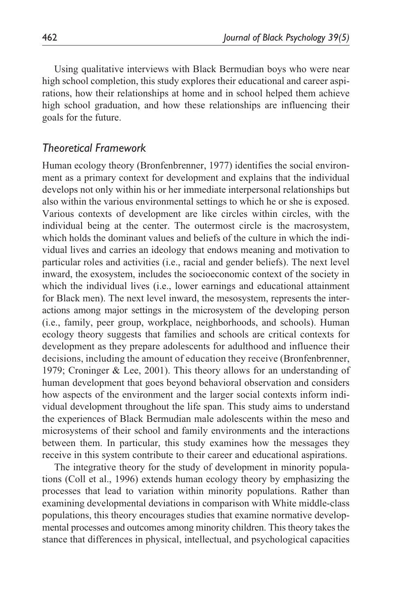Using qualitative interviews with Black Bermudian boys who were near high school completion, this study explores their educational and career aspirations, how their relationships at home and in school helped them achieve high school graduation, and how these relationships are influencing their goals for the future.

## *Theoretical Framework*

Human ecology theory (Bronfenbrenner, 1977) identifies the social environment as a primary context for development and explains that the individual develops not only within his or her immediate interpersonal relationships but also within the various environmental settings to which he or she is exposed. Various contexts of development are like circles within circles, with the individual being at the center. The outermost circle is the macrosystem, which holds the dominant values and beliefs of the culture in which the individual lives and carries an ideology that endows meaning and motivation to particular roles and activities (i.e., racial and gender beliefs). The next level inward, the exosystem, includes the socioeconomic context of the society in which the individual lives (i.e., lower earnings and educational attainment for Black men). The next level inward, the mesosystem, represents the interactions among major settings in the microsystem of the developing person (i.e., family, peer group, workplace, neighborhoods, and schools). Human ecology theory suggests that families and schools are critical contexts for development as they prepare adolescents for adulthood and influence their decisions, including the amount of education they receive (Bronfenbrenner, 1979; Croninger & Lee, 2001). This theory allows for an understanding of human development that goes beyond behavioral observation and considers how aspects of the environment and the larger social contexts inform individual development throughout the life span. This study aims to understand the experiences of Black Bermudian male adolescents within the meso and microsystems of their school and family environments and the interactions between them. In particular, this study examines how the messages they receive in this system contribute to their career and educational aspirations.

The integrative theory for the study of development in minority populations (Coll et al., 1996) extends human ecology theory by emphasizing the processes that lead to variation within minority populations. Rather than examining developmental deviations in comparison with White middle-class populations, this theory encourages studies that examine normative developmental processes and outcomes among minority children. This theory takes the stance that differences in physical, intellectual, and psychological capacities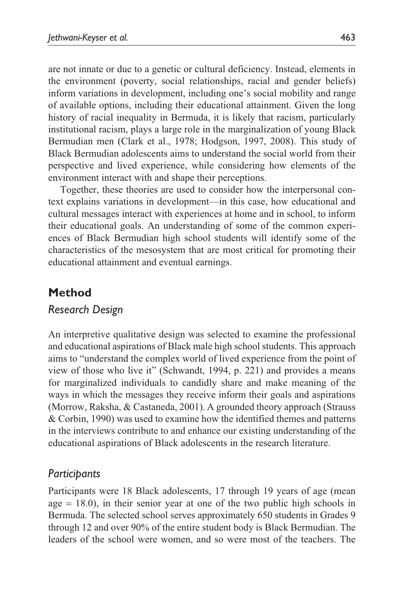are not innate or due to a genetic or cultural deficiency. Instead, elements in the environment (poverty, social relationships, racial and gender beliefs) inform variations in development, including one's social mobility and range of available options, including their educational attainment. Given the long history of racial inequality in Bermuda, it is likely that racism, particularly institutional racism, plays a large role in the marginalization of young Black Bermudian men (Clark et al., 1978; Hodgson, 1997, 2008). This study of Black Bermudian adolescents aims to understand the social world from their perspective and lived experience, while considering how elements of the environment interact with and shape their perceptions.

Together, these theories are used to consider how the interpersonal context explains variations in development—in this case, how educational and cultural messages interact with experiences at home and in school, to inform their educational goals. An understanding of some of the common experiences of Black Bermudian high school students will identify some of the characteristics of the mesosystem that are most critical for promoting their educational attainment and eventual earnings.

# **Method**

## *Research Design*

An interpretive qualitative design was selected to examine the professional and educational aspirations of Black male high school students. This approach aims to "understand the complex world of lived experience from the point of view of those who live it" (Schwandt, 1994, p. 221) and provides a means for marginalized individuals to candidly share and make meaning of the ways in which the messages they receive inform their goals and aspirations (Morrow, Raksha, & Castaneda, 2001). A grounded theory approach (Strauss & Corbin, 1990) was used to examine how the identified themes and patterns in the interviews contribute to and enhance our existing understanding of the educational aspirations of Black adolescents in the research literature.

### *Participants*

Participants were 18 Black adolescents, 17 through 19 years of age (mean  $age = 18.0$ , in their senior year at one of the two public high schools in Bermuda. The selected school serves approximately 650 students in Grades 9 through 12 and over 90% of the entire student body is Black Bermudian. The leaders of the school were women, and so were most of the teachers. The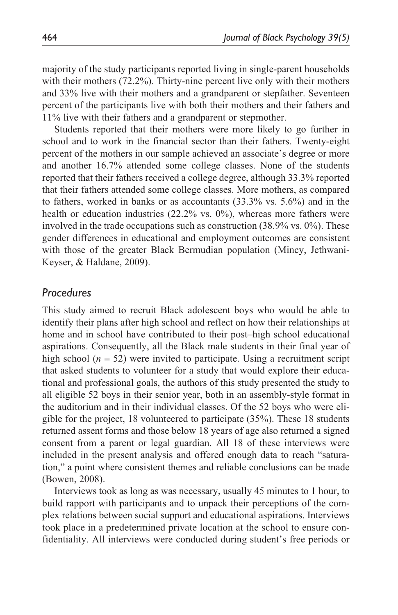majority of the study participants reported living in single-parent households with their mothers (72.2%). Thirty-nine percent live only with their mothers and 33% live with their mothers and a grandparent or stepfather. Seventeen percent of the participants live with both their mothers and their fathers and 11% live with their fathers and a grandparent or stepmother.

Students reported that their mothers were more likely to go further in school and to work in the financial sector than their fathers. Twenty-eight percent of the mothers in our sample achieved an associate's degree or more and another 16.7% attended some college classes. None of the students reported that their fathers received a college degree, although 33.3% reported that their fathers attended some college classes. More mothers, as compared to fathers, worked in banks or as accountants (33.3% vs. 5.6%) and in the health or education industries (22.2% vs. 0%), whereas more fathers were involved in the trade occupations such as construction (38.9% vs. 0%). These gender differences in educational and employment outcomes are consistent with those of the greater Black Bermudian population (Mincy, Jethwani-Keyser, & Haldane, 2009).

### *Procedures*

This study aimed to recruit Black adolescent boys who would be able to identify their plans after high school and reflect on how their relationships at home and in school have contributed to their post–high school educational aspirations. Consequently, all the Black male students in their final year of high school  $(n = 52)$  were invited to participate. Using a recruitment script that asked students to volunteer for a study that would explore their educational and professional goals, the authors of this study presented the study to all eligible 52 boys in their senior year, both in an assembly-style format in the auditorium and in their individual classes. Of the 52 boys who were eligible for the project, 18 volunteered to participate (35%). These 18 students returned assent forms and those below 18 years of age also returned a signed consent from a parent or legal guardian. All 18 of these interviews were included in the present analysis and offered enough data to reach "saturation," a point where consistent themes and reliable conclusions can be made (Bowen, 2008).

Interviews took as long as was necessary, usually 45 minutes to 1 hour, to build rapport with participants and to unpack their perceptions of the complex relations between social support and educational aspirations. Interviews took place in a predetermined private location at the school to ensure confidentiality. All interviews were conducted during student's free periods or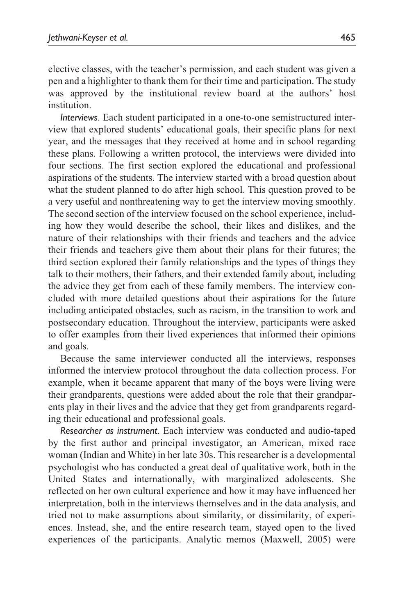elective classes, with the teacher's permission, and each student was given a pen and a highlighter to thank them for their time and participation. The study was approved by the institutional review board at the authors' host institution.

*Interviews*. Each student participated in a one-to-one semistructured interview that explored students' educational goals, their specific plans for next year, and the messages that they received at home and in school regarding these plans. Following a written protocol, the interviews were divided into four sections. The first section explored the educational and professional aspirations of the students. The interview started with a broad question about what the student planned to do after high school. This question proved to be a very useful and nonthreatening way to get the interview moving smoothly. The second section of the interview focused on the school experience, including how they would describe the school, their likes and dislikes, and the nature of their relationships with their friends and teachers and the advice their friends and teachers give them about their plans for their futures; the third section explored their family relationships and the types of things they talk to their mothers, their fathers, and their extended family about, including the advice they get from each of these family members. The interview concluded with more detailed questions about their aspirations for the future including anticipated obstacles, such as racism, in the transition to work and postsecondary education. Throughout the interview, participants were asked to offer examples from their lived experiences that informed their opinions and goals.

Because the same interviewer conducted all the interviews, responses informed the interview protocol throughout the data collection process. For example, when it became apparent that many of the boys were living were their grandparents, questions were added about the role that their grandparents play in their lives and the advice that they get from grandparents regarding their educational and professional goals.

*Researcher as instrument*. Each interview was conducted and audio-taped by the first author and principal investigator, an American, mixed race woman (Indian and White) in her late 30s. This researcher is a developmental psychologist who has conducted a great deal of qualitative work, both in the United States and internationally, with marginalized adolescents. She reflected on her own cultural experience and how it may have influenced her interpretation, both in the interviews themselves and in the data analysis, and tried not to make assumptions about similarity, or dissimilarity, of experiences. Instead, she, and the entire research team, stayed open to the lived experiences of the participants. Analytic memos (Maxwell, 2005) were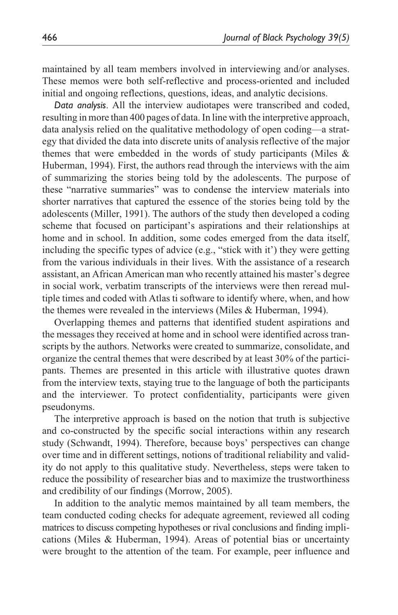maintained by all team members involved in interviewing and/or analyses. These memos were both self-reflective and process-oriented and included initial and ongoing reflections, questions, ideas, and analytic decisions.

*Data analysis*. All the interview audiotapes were transcribed and coded, resulting in more than 400 pages of data. In line with the interpretive approach, data analysis relied on the qualitative methodology of open coding—a strategy that divided the data into discrete units of analysis reflective of the major themes that were embedded in the words of study participants (Miles & Huberman, 1994). First, the authors read through the interviews with the aim of summarizing the stories being told by the adolescents. The purpose of these "narrative summaries" was to condense the interview materials into shorter narratives that captured the essence of the stories being told by the adolescents (Miller, 1991). The authors of the study then developed a coding scheme that focused on participant's aspirations and their relationships at home and in school. In addition, some codes emerged from the data itself, including the specific types of advice (e.g., "stick with it') they were getting from the various individuals in their lives. With the assistance of a research assistant, an African American man who recently attained his master's degree in social work, verbatim transcripts of the interviews were then reread multiple times and coded with Atlas ti software to identify where, when, and how the themes were revealed in the interviews (Miles & Huberman, 1994).

Overlapping themes and patterns that identified student aspirations and the messages they received at home and in school were identified across transcripts by the authors. Networks were created to summarize, consolidate, and organize the central themes that were described by at least 30% of the participants. Themes are presented in this article with illustrative quotes drawn from the interview texts, staying true to the language of both the participants and the interviewer. To protect confidentiality, participants were given pseudonyms.

The interpretive approach is based on the notion that truth is subjective and co-constructed by the specific social interactions within any research study (Schwandt, 1994). Therefore, because boys' perspectives can change over time and in different settings, notions of traditional reliability and validity do not apply to this qualitative study. Nevertheless, steps were taken to reduce the possibility of researcher bias and to maximize the trustworthiness and credibility of our findings (Morrow, 2005).

In addition to the analytic memos maintained by all team members, the team conducted coding checks for adequate agreement, reviewed all coding matrices to discuss competing hypotheses or rival conclusions and finding implications (Miles & Huberman, 1994). Areas of potential bias or uncertainty were brought to the attention of the team. For example, peer influence and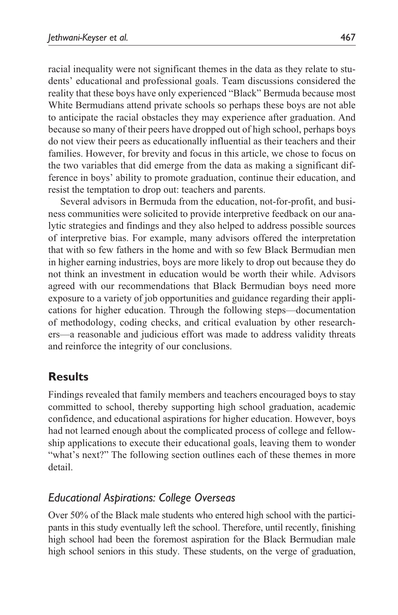racial inequality were not significant themes in the data as they relate to students' educational and professional goals. Team discussions considered the reality that these boys have only experienced "Black" Bermuda because most White Bermudians attend private schools so perhaps these boys are not able to anticipate the racial obstacles they may experience after graduation. And because so many of their peers have dropped out of high school, perhaps boys do not view their peers as educationally influential as their teachers and their families. However, for brevity and focus in this article, we chose to focus on the two variables that did emerge from the data as making a significant difference in boys' ability to promote graduation, continue their education, and resist the temptation to drop out: teachers and parents.

Several advisors in Bermuda from the education, not-for-profit, and business communities were solicited to provide interpretive feedback on our analytic strategies and findings and they also helped to address possible sources of interpretive bias. For example, many advisors offered the interpretation that with so few fathers in the home and with so few Black Bermudian men in higher earning industries, boys are more likely to drop out because they do not think an investment in education would be worth their while. Advisors agreed with our recommendations that Black Bermudian boys need more exposure to a variety of job opportunities and guidance regarding their applications for higher education. Through the following steps—documentation of methodology, coding checks, and critical evaluation by other researchers—a reasonable and judicious effort was made to address validity threats and reinforce the integrity of our conclusions.

# **Results**

Findings revealed that family members and teachers encouraged boys to stay committed to school, thereby supporting high school graduation, academic confidence, and educational aspirations for higher education. However, boys had not learned enough about the complicated process of college and fellowship applications to execute their educational goals, leaving them to wonder "what's next?" The following section outlines each of these themes in more detail.

# *Educational Aspirations: College Overseas*

Over 50% of the Black male students who entered high school with the participants in this study eventually left the school. Therefore, until recently, finishing high school had been the foremost aspiration for the Black Bermudian male high school seniors in this study. These students, on the verge of graduation,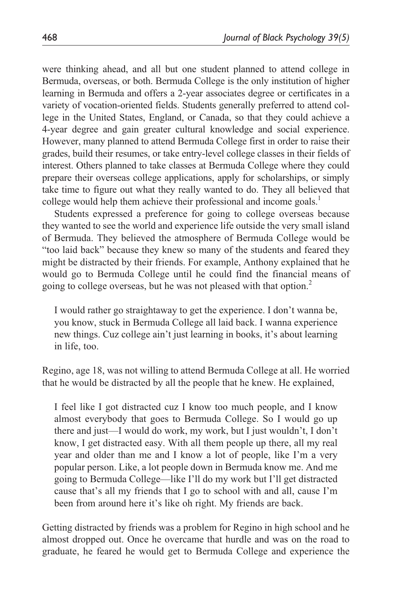were thinking ahead, and all but one student planned to attend college in Bermuda, overseas, or both. Bermuda College is the only institution of higher learning in Bermuda and offers a 2-year associates degree or certificates in a variety of vocation-oriented fields. Students generally preferred to attend college in the United States, England, or Canada, so that they could achieve a 4-year degree and gain greater cultural knowledge and social experience. However, many planned to attend Bermuda College first in order to raise their grades, build their resumes, or take entry-level college classes in their fields of interest. Others planned to take classes at Bermuda College where they could prepare their overseas college applications, apply for scholarships, or simply take time to figure out what they really wanted to do. They all believed that college would help them achieve their professional and income goals.<sup>1</sup>

Students expressed a preference for going to college overseas because they wanted to see the world and experience life outside the very small island of Bermuda. They believed the atmosphere of Bermuda College would be "too laid back" because they knew so many of the students and feared they might be distracted by their friends. For example, Anthony explained that he would go to Bermuda College until he could find the financial means of going to college overseas, but he was not pleased with that option.<sup>2</sup>

I would rather go straightaway to get the experience. I don't wanna be, you know, stuck in Bermuda College all laid back. I wanna experience new things. Cuz college ain't just learning in books, it's about learning in life, too.

Regino, age 18, was not willing to attend Bermuda College at all. He worried that he would be distracted by all the people that he knew. He explained,

I feel like I got distracted cuz I know too much people, and I know almost everybody that goes to Bermuda College. So I would go up there and just—I would do work, my work, but I just wouldn't, I don't know, I get distracted easy. With all them people up there, all my real year and older than me and I know a lot of people, like I'm a very popular person. Like, a lot people down in Bermuda know me. And me going to Bermuda College—like I'll do my work but I'll get distracted cause that's all my friends that I go to school with and all, cause I'm been from around here it's like oh right. My friends are back.

Getting distracted by friends was a problem for Regino in high school and he almost dropped out. Once he overcame that hurdle and was on the road to graduate, he feared he would get to Bermuda College and experience the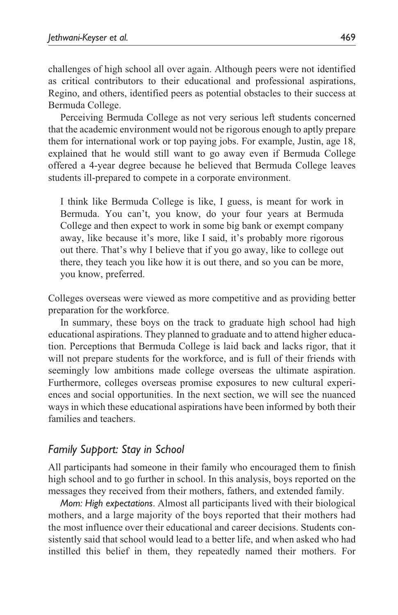challenges of high school all over again. Although peers were not identified as critical contributors to their educational and professional aspirations, Regino, and others, identified peers as potential obstacles to their success at Bermuda College.

Perceiving Bermuda College as not very serious left students concerned that the academic environment would not be rigorous enough to aptly prepare them for international work or top paying jobs. For example, Justin, age 18, explained that he would still want to go away even if Bermuda College offered a 4-year degree because he believed that Bermuda College leaves students ill-prepared to compete in a corporate environment.

I think like Bermuda College is like, I guess, is meant for work in Bermuda. You can't, you know, do your four years at Bermuda College and then expect to work in some big bank or exempt company away, like because it's more, like I said, it's probably more rigorous out there. That's why I believe that if you go away, like to college out there, they teach you like how it is out there, and so you can be more, you know, preferred.

Colleges overseas were viewed as more competitive and as providing better preparation for the workforce.

In summary, these boys on the track to graduate high school had high educational aspirations. They planned to graduate and to attend higher education. Perceptions that Bermuda College is laid back and lacks rigor, that it will not prepare students for the workforce, and is full of their friends with seemingly low ambitions made college overseas the ultimate aspiration. Furthermore, colleges overseas promise exposures to new cultural experiences and social opportunities. In the next section, we will see the nuanced ways in which these educational aspirations have been informed by both their families and teachers.

## *Family Support: Stay in School*

All participants had someone in their family who encouraged them to finish high school and to go further in school. In this analysis, boys reported on the messages they received from their mothers, fathers, and extended family.

*Mom: High expectations*. Almost all participants lived with their biological mothers, and a large majority of the boys reported that their mothers had the most influence over their educational and career decisions. Students consistently said that school would lead to a better life, and when asked who had instilled this belief in them, they repeatedly named their mothers. For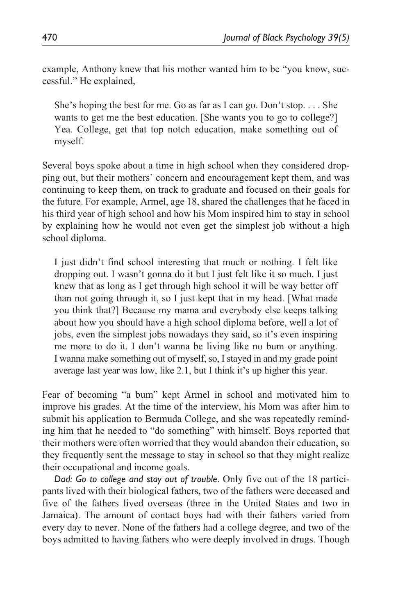example, Anthony knew that his mother wanted him to be "you know, successful." He explained,

She's hoping the best for me. Go as far as I can go. Don't stop. . . . She wants to get me the best education. [She wants you to go to college?] Yea. College, get that top notch education, make something out of myself.

Several boys spoke about a time in high school when they considered dropping out, but their mothers' concern and encouragement kept them, and was continuing to keep them, on track to graduate and focused on their goals for the future. For example, Armel, age 18, shared the challenges that he faced in his third year of high school and how his Mom inspired him to stay in school by explaining how he would not even get the simplest job without a high school diploma.

I just didn't find school interesting that much or nothing. I felt like dropping out. I wasn't gonna do it but I just felt like it so much. I just knew that as long as I get through high school it will be way better off than not going through it, so I just kept that in my head. [What made you think that?] Because my mama and everybody else keeps talking about how you should have a high school diploma before, well a lot of jobs, even the simplest jobs nowadays they said, so it's even inspiring me more to do it. I don't wanna be living like no bum or anything. I wanna make something out of myself, so, I stayed in and my grade point average last year was low, like 2.1, but I think it's up higher this year.

Fear of becoming "a bum" kept Armel in school and motivated him to improve his grades. At the time of the interview, his Mom was after him to submit his application to Bermuda College, and she was repeatedly reminding him that he needed to "do something" with himself. Boys reported that their mothers were often worried that they would abandon their education, so they frequently sent the message to stay in school so that they might realize their occupational and income goals.

*Dad: Go to college and stay out of trouble*. Only five out of the 18 participants lived with their biological fathers, two of the fathers were deceased and five of the fathers lived overseas (three in the United States and two in Jamaica). The amount of contact boys had with their fathers varied from every day to never. None of the fathers had a college degree, and two of the boys admitted to having fathers who were deeply involved in drugs. Though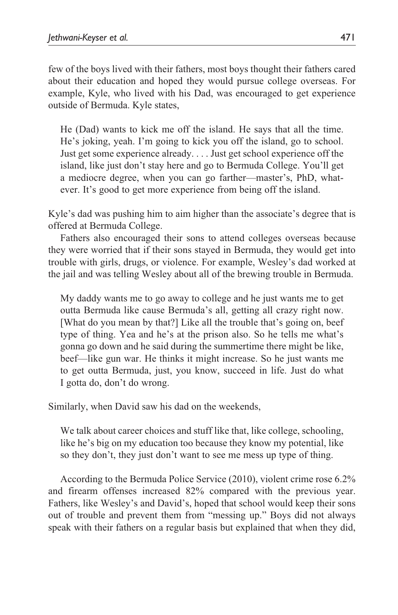few of the boys lived with their fathers, most boys thought their fathers cared about their education and hoped they would pursue college overseas. For example, Kyle, who lived with his Dad, was encouraged to get experience outside of Bermuda. Kyle states,

He (Dad) wants to kick me off the island. He says that all the time. He's joking, yeah. I'm going to kick you off the island, go to school. Just get some experience already. . . . Just get school experience off the island, like just don't stay here and go to Bermuda College. You'll get a mediocre degree, when you can go farther—master's, PhD, whatever. It's good to get more experience from being off the island.

Kyle's dad was pushing him to aim higher than the associate's degree that is offered at Bermuda College.

Fathers also encouraged their sons to attend colleges overseas because they were worried that if their sons stayed in Bermuda, they would get into trouble with girls, drugs, or violence. For example, Wesley's dad worked at the jail and was telling Wesley about all of the brewing trouble in Bermuda.

My daddy wants me to go away to college and he just wants me to get outta Bermuda like cause Bermuda's all, getting all crazy right now. [What do you mean by that?] Like all the trouble that's going on, beef type of thing. Yea and he's at the prison also. So he tells me what's gonna go down and he said during the summertime there might be like, beef—like gun war. He thinks it might increase. So he just wants me to get outta Bermuda, just, you know, succeed in life. Just do what I gotta do, don't do wrong.

Similarly, when David saw his dad on the weekends,

We talk about career choices and stuff like that, like college, schooling, like he's big on my education too because they know my potential, like so they don't, they just don't want to see me mess up type of thing.

According to the Bermuda Police Service (2010), violent crime rose 6.2% and firearm offenses increased 82% compared with the previous year. Fathers, like Wesley's and David's, hoped that school would keep their sons out of trouble and prevent them from "messing up." Boys did not always speak with their fathers on a regular basis but explained that when they did,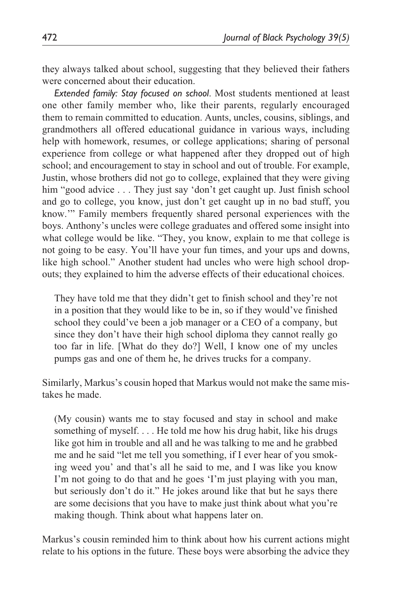they always talked about school, suggesting that they believed their fathers were concerned about their education.

*Extended family: Stay focused on school*. Most students mentioned at least one other family member who, like their parents, regularly encouraged them to remain committed to education. Aunts, uncles, cousins, siblings, and grandmothers all offered educational guidance in various ways, including help with homework, resumes, or college applications; sharing of personal experience from college or what happened after they dropped out of high school; and encouragement to stay in school and out of trouble. For example, Justin, whose brothers did not go to college, explained that they were giving him "good advice . . . They just say 'don't get caught up. Just finish school and go to college, you know, just don't get caught up in no bad stuff, you know.'" Family members frequently shared personal experiences with the boys. Anthony's uncles were college graduates and offered some insight into what college would be like. "They, you know, explain to me that college is not going to be easy. You'll have your fun times, and your ups and downs, like high school." Another student had uncles who were high school dropouts; they explained to him the adverse effects of their educational choices.

They have told me that they didn't get to finish school and they're not in a position that they would like to be in, so if they would've finished school they could've been a job manager or a CEO of a company, but since they don't have their high school diploma they cannot really go too far in life. [What do they do?] Well, I know one of my uncles pumps gas and one of them he, he drives trucks for a company.

Similarly, Markus's cousin hoped that Markus would not make the same mistakes he made.

(My cousin) wants me to stay focused and stay in school and make something of myself. . . . He told me how his drug habit, like his drugs like got him in trouble and all and he was talking to me and he grabbed me and he said "let me tell you something, if I ever hear of you smoking weed you' and that's all he said to me, and I was like you know I'm not going to do that and he goes 'I'm just playing with you man, but seriously don't do it." He jokes around like that but he says there are some decisions that you have to make just think about what you're making though. Think about what happens later on.

Markus's cousin reminded him to think about how his current actions might relate to his options in the future. These boys were absorbing the advice they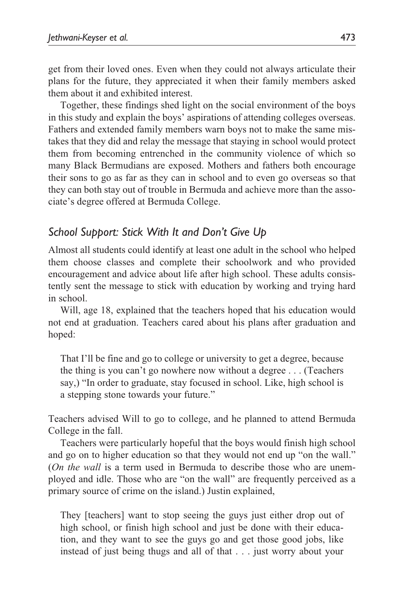get from their loved ones. Even when they could not always articulate their plans for the future, they appreciated it when their family members asked them about it and exhibited interest.

Together, these findings shed light on the social environment of the boys in this study and explain the boys' aspirations of attending colleges overseas. Fathers and extended family members warn boys not to make the same mistakes that they did and relay the message that staying in school would protect them from becoming entrenched in the community violence of which so many Black Bermudians are exposed. Mothers and fathers both encourage their sons to go as far as they can in school and to even go overseas so that they can both stay out of trouble in Bermuda and achieve more than the associate's degree offered at Bermuda College.

# *School Support: Stick With It and Don't Give Up*

Almost all students could identify at least one adult in the school who helped them choose classes and complete their schoolwork and who provided encouragement and advice about life after high school. These adults consistently sent the message to stick with education by working and trying hard in school.

Will, age 18, explained that the teachers hoped that his education would not end at graduation. Teachers cared about his plans after graduation and hoped:

That I'll be fine and go to college or university to get a degree, because the thing is you can't go nowhere now without a degree . . . (Teachers say,) "In order to graduate, stay focused in school. Like, high school is a stepping stone towards your future."

Teachers advised Will to go to college, and he planned to attend Bermuda College in the fall.

Teachers were particularly hopeful that the boys would finish high school and go on to higher education so that they would not end up "on the wall." (*On the wall* is a term used in Bermuda to describe those who are unemployed and idle. Those who are "on the wall" are frequently perceived as a primary source of crime on the island.) Justin explained,

They [teachers] want to stop seeing the guys just either drop out of high school, or finish high school and just be done with their education, and they want to see the guys go and get those good jobs, like instead of just being thugs and all of that . . . just worry about your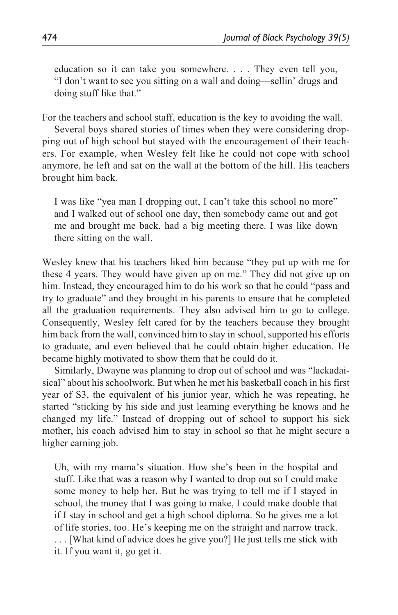education so it can take you somewhere. . . . They even tell you, "I don't want to see you sitting on a wall and doing—sellin' drugs and doing stuff like that."

For the teachers and school staff, education is the key to avoiding the wall.

Several boys shared stories of times when they were considering dropping out of high school but stayed with the encouragement of their teachers. For example, when Wesley felt like he could not cope with school anymore, he left and sat on the wall at the bottom of the hill. His teachers brought him back.

I was like "yea man I dropping out, I can't take this school no more" and I walked out of school one day, then somebody came out and got me and brought me back, had a big meeting there. I was like down there sitting on the wall.

Wesley knew that his teachers liked him because "they put up with me for these 4 years. They would have given up on me." They did not give up on him. Instead, they encouraged him to do his work so that he could "pass and try to graduate" and they brought in his parents to ensure that he completed all the graduation requirements. They also advised him to go to college. Consequently, Wesley felt cared for by the teachers because they brought him back from the wall, convinced him to stay in school, supported his efforts to graduate, and even believed that he could obtain higher education. He became highly motivated to show them that he could do it.

Similarly, Dwayne was planning to drop out of school and was "lackadaisical" about his schoolwork. But when he met his basketball coach in his first year of S3, the equivalent of his junior year, which he was repeating, he started "sticking by his side and just learning everything he knows and he changed my life." Instead of dropping out of school to support his sick mother, his coach advised him to stay in school so that he might secure a higher earning job.

Uh, with my mama's situation. How she's been in the hospital and stuff. Like that was a reason why I wanted to drop out so I could make some money to help her. But he was trying to tell me if I stayed in school, the money that I was going to make, I could make double that if I stay in school and get a high school diploma. So he gives me a lot of life stories, too. He's keeping me on the straight and narrow track. . . . [What kind of advice does he give you?] He just tells me stick with it. If you want it, go get it.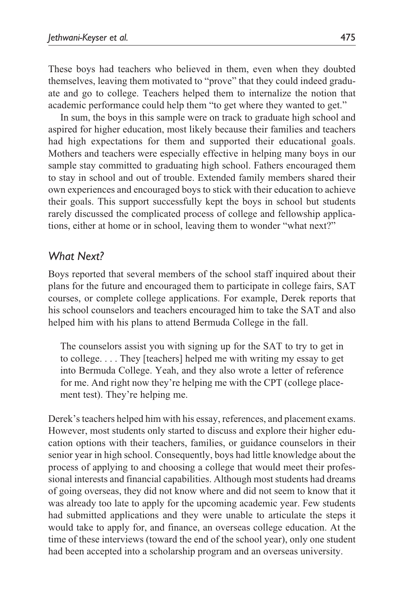These boys had teachers who believed in them, even when they doubted themselves, leaving them motivated to "prove" that they could indeed graduate and go to college. Teachers helped them to internalize the notion that academic performance could help them "to get where they wanted to get."

In sum, the boys in this sample were on track to graduate high school and aspired for higher education, most likely because their families and teachers had high expectations for them and supported their educational goals. Mothers and teachers were especially effective in helping many boys in our sample stay committed to graduating high school. Fathers encouraged them to stay in school and out of trouble. Extended family members shared their own experiences and encouraged boys to stick with their education to achieve their goals. This support successfully kept the boys in school but students rarely discussed the complicated process of college and fellowship applications, either at home or in school, leaving them to wonder "what next?"

### *What Next?*

Boys reported that several members of the school staff inquired about their plans for the future and encouraged them to participate in college fairs, SAT courses, or complete college applications. For example, Derek reports that his school counselors and teachers encouraged him to take the SAT and also helped him with his plans to attend Bermuda College in the fall.

The counselors assist you with signing up for the SAT to try to get in to college. . . . They [teachers] helped me with writing my essay to get into Bermuda College. Yeah, and they also wrote a letter of reference for me. And right now they're helping me with the CPT (college placement test). They're helping me.

Derek's teachers helped him with his essay, references, and placement exams. However, most students only started to discuss and explore their higher education options with their teachers, families, or guidance counselors in their senior year in high school. Consequently, boys had little knowledge about the process of applying to and choosing a college that would meet their professional interests and financial capabilities. Although most students had dreams of going overseas, they did not know where and did not seem to know that it was already too late to apply for the upcoming academic year. Few students had submitted applications and they were unable to articulate the steps it would take to apply for, and finance, an overseas college education. At the time of these interviews (toward the end of the school year), only one student had been accepted into a scholarship program and an overseas university.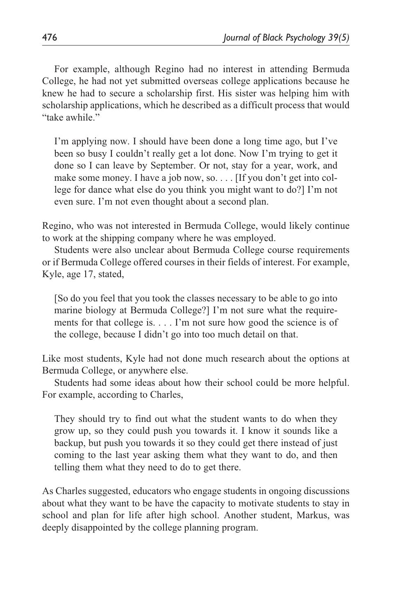For example, although Regino had no interest in attending Bermuda College, he had not yet submitted overseas college applications because he knew he had to secure a scholarship first. His sister was helping him with scholarship applications, which he described as a difficult process that would "take awhile."

I'm applying now. I should have been done a long time ago, but I've been so busy I couldn't really get a lot done. Now I'm trying to get it done so I can leave by September. Or not, stay for a year, work, and make some money. I have a job now, so. . . . [If you don't get into college for dance what else do you think you might want to do?] I'm not even sure. I'm not even thought about a second plan.

Regino, who was not interested in Bermuda College, would likely continue to work at the shipping company where he was employed.

Students were also unclear about Bermuda College course requirements or if Bermuda College offered courses in their fields of interest. For example, Kyle, age 17, stated,

[So do you feel that you took the classes necessary to be able to go into marine biology at Bermuda College?] I'm not sure what the requirements for that college is. . . . I'm not sure how good the science is of the college, because I didn't go into too much detail on that.

Like most students, Kyle had not done much research about the options at Bermuda College, or anywhere else.

Students had some ideas about how their school could be more helpful. For example, according to Charles,

They should try to find out what the student wants to do when they grow up, so they could push you towards it. I know it sounds like a backup, but push you towards it so they could get there instead of just coming to the last year asking them what they want to do, and then telling them what they need to do to get there.

As Charles suggested, educators who engage students in ongoing discussions about what they want to be have the capacity to motivate students to stay in school and plan for life after high school. Another student, Markus, was deeply disappointed by the college planning program.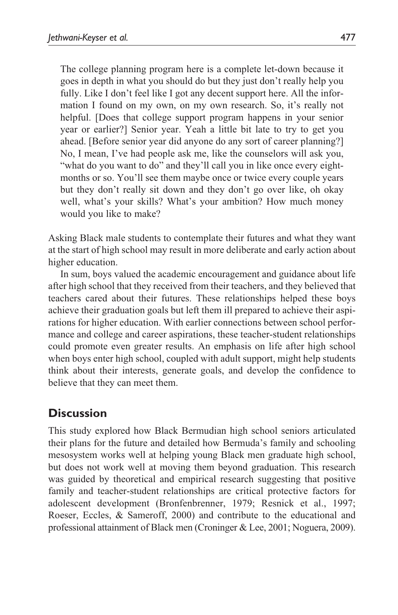The college planning program here is a complete let-down because it goes in depth in what you should do but they just don't really help you fully. Like I don't feel like I got any decent support here. All the information I found on my own, on my own research. So, it's really not helpful. [Does that college support program happens in your senior year or earlier?] Senior year. Yeah a little bit late to try to get you ahead. [Before senior year did anyone do any sort of career planning?] No, I mean, I've had people ask me, like the counselors will ask you, "what do you want to do" and they'll call you in like once every eightmonths or so. You'll see them maybe once or twice every couple years but they don't really sit down and they don't go over like, oh okay well, what's your skills? What's your ambition? How much money would you like to make?

Asking Black male students to contemplate their futures and what they want at the start of high school may result in more deliberate and early action about higher education.

In sum, boys valued the academic encouragement and guidance about life after high school that they received from their teachers, and they believed that teachers cared about their futures. These relationships helped these boys achieve their graduation goals but left them ill prepared to achieve their aspirations for higher education. With earlier connections between school performance and college and career aspirations, these teacher-student relationships could promote even greater results. An emphasis on life after high school when boys enter high school, coupled with adult support, might help students think about their interests, generate goals, and develop the confidence to believe that they can meet them.

# **Discussion**

This study explored how Black Bermudian high school seniors articulated their plans for the future and detailed how Bermuda's family and schooling mesosystem works well at helping young Black men graduate high school, but does not work well at moving them beyond graduation. This research was guided by theoretical and empirical research suggesting that positive family and teacher-student relationships are critical protective factors for adolescent development (Bronfenbrenner, 1979; Resnick et al., 1997; Roeser, Eccles, & Sameroff, 2000) and contribute to the educational and professional attainment of Black men (Croninger & Lee, 2001; Noguera, 2009).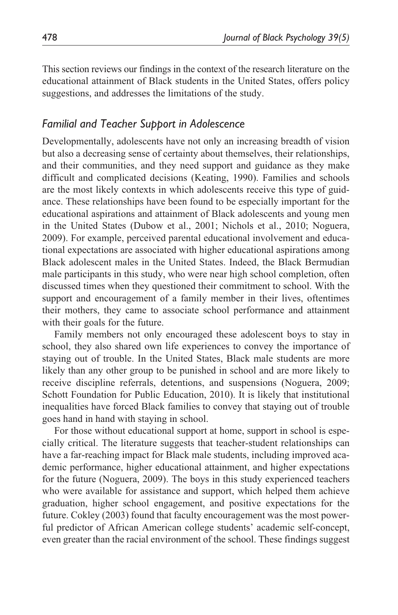This section reviews our findings in the context of the research literature on the educational attainment of Black students in the United States, offers policy suggestions, and addresses the limitations of the study.

## *Familial and Teacher Support in Adolescence*

Developmentally, adolescents have not only an increasing breadth of vision but also a decreasing sense of certainty about themselves, their relationships, and their communities, and they need support and guidance as they make difficult and complicated decisions (Keating, 1990). Families and schools are the most likely contexts in which adolescents receive this type of guidance. These relationships have been found to be especially important for the educational aspirations and attainment of Black adolescents and young men in the United States (Dubow et al., 2001; Nichols et al., 2010; Noguera, 2009). For example, perceived parental educational involvement and educational expectations are associated with higher educational aspirations among Black adolescent males in the United States. Indeed, the Black Bermudian male participants in this study, who were near high school completion, often discussed times when they questioned their commitment to school. With the support and encouragement of a family member in their lives, oftentimes their mothers, they came to associate school performance and attainment with their goals for the future.

Family members not only encouraged these adolescent boys to stay in school, they also shared own life experiences to convey the importance of staying out of trouble. In the United States, Black male students are more likely than any other group to be punished in school and are more likely to receive discipline referrals, detentions, and suspensions (Noguera, 2009; Schott Foundation for Public Education, 2010). It is likely that institutional inequalities have forced Black families to convey that staying out of trouble goes hand in hand with staying in school.

For those without educational support at home, support in school is especially critical. The literature suggests that teacher-student relationships can have a far-reaching impact for Black male students, including improved academic performance, higher educational attainment, and higher expectations for the future (Noguera, 2009). The boys in this study experienced teachers who were available for assistance and support, which helped them achieve graduation, higher school engagement, and positive expectations for the future. Cokley (2003) found that faculty encouragement was the most powerful predictor of African American college students' academic self-concept, even greater than the racial environment of the school. These findings suggest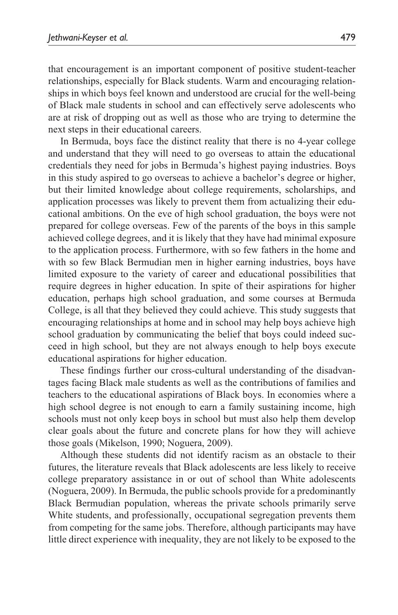that encouragement is an important component of positive student-teacher relationships, especially for Black students. Warm and encouraging relationships in which boys feel known and understood are crucial for the well-being of Black male students in school and can effectively serve adolescents who are at risk of dropping out as well as those who are trying to determine the next steps in their educational careers.

In Bermuda, boys face the distinct reality that there is no 4-year college and understand that they will need to go overseas to attain the educational credentials they need for jobs in Bermuda's highest paying industries. Boys in this study aspired to go overseas to achieve a bachelor's degree or higher, but their limited knowledge about college requirements, scholarships, and application processes was likely to prevent them from actualizing their educational ambitions. On the eve of high school graduation, the boys were not prepared for college overseas. Few of the parents of the boys in this sample achieved college degrees, and it is likely that they have had minimal exposure to the application process. Furthermore, with so few fathers in the home and with so few Black Bermudian men in higher earning industries, boys have limited exposure to the variety of career and educational possibilities that require degrees in higher education. In spite of their aspirations for higher education, perhaps high school graduation, and some courses at Bermuda College, is all that they believed they could achieve. This study suggests that encouraging relationships at home and in school may help boys achieve high school graduation by communicating the belief that boys could indeed succeed in high school, but they are not always enough to help boys execute educational aspirations for higher education.

These findings further our cross-cultural understanding of the disadvantages facing Black male students as well as the contributions of families and teachers to the educational aspirations of Black boys. In economies where a high school degree is not enough to earn a family sustaining income, high schools must not only keep boys in school but must also help them develop clear goals about the future and concrete plans for how they will achieve those goals (Mikelson, 1990; Noguera, 2009).

Although these students did not identify racism as an obstacle to their futures, the literature reveals that Black adolescents are less likely to receive college preparatory assistance in or out of school than White adolescents (Noguera, 2009). In Bermuda, the public schools provide for a predominantly Black Bermudian population, whereas the private schools primarily serve White students, and professionally, occupational segregation prevents them from competing for the same jobs. Therefore, although participants may have little direct experience with inequality, they are not likely to be exposed to the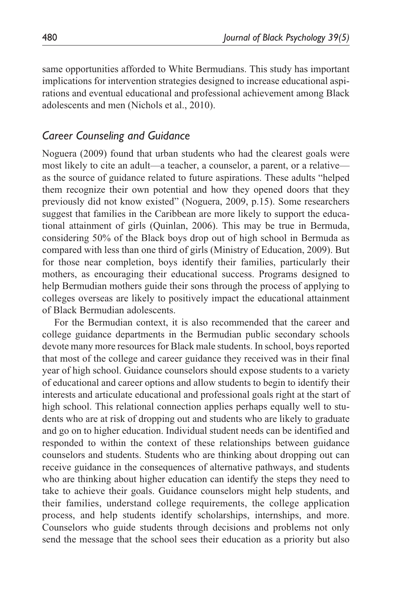same opportunities afforded to White Bermudians. This study has important implications for intervention strategies designed to increase educational aspirations and eventual educational and professional achievement among Black adolescents and men (Nichols et al., 2010).

# *Career Counseling and Guidance*

Noguera (2009) found that urban students who had the clearest goals were most likely to cite an adult—a teacher, a counselor, a parent, or a relative as the source of guidance related to future aspirations. These adults "helped them recognize their own potential and how they opened doors that they previously did not know existed" (Noguera, 2009, p.15). Some researchers suggest that families in the Caribbean are more likely to support the educational attainment of girls (Quinlan, 2006). This may be true in Bermuda, considering 50% of the Black boys drop out of high school in Bermuda as compared with less than one third of girls (Ministry of Education, 2009). But for those near completion, boys identify their families, particularly their mothers, as encouraging their educational success. Programs designed to help Bermudian mothers guide their sons through the process of applying to colleges overseas are likely to positively impact the educational attainment of Black Bermudian adolescents.

For the Bermudian context, it is also recommended that the career and college guidance departments in the Bermudian public secondary schools devote many more resources for Black male students. In school, boys reported that most of the college and career guidance they received was in their final year of high school. Guidance counselors should expose students to a variety of educational and career options and allow students to begin to identify their interests and articulate educational and professional goals right at the start of high school. This relational connection applies perhaps equally well to students who are at risk of dropping out and students who are likely to graduate and go on to higher education. Individual student needs can be identified and responded to within the context of these relationships between guidance counselors and students. Students who are thinking about dropping out can receive guidance in the consequences of alternative pathways, and students who are thinking about higher education can identify the steps they need to take to achieve their goals. Guidance counselors might help students, and their families, understand college requirements, the college application process, and help students identify scholarships, internships, and more. Counselors who guide students through decisions and problems not only send the message that the school sees their education as a priority but also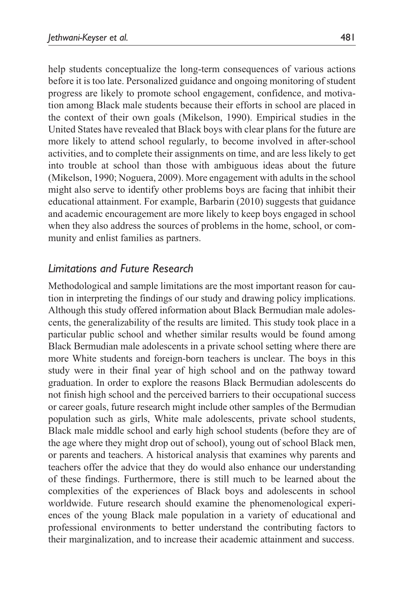help students conceptualize the long-term consequences of various actions before it is too late. Personalized guidance and ongoing monitoring of student progress are likely to promote school engagement, confidence, and motivation among Black male students because their efforts in school are placed in the context of their own goals (Mikelson, 1990). Empirical studies in the United States have revealed that Black boys with clear plans for the future are more likely to attend school regularly, to become involved in after-school activities, and to complete their assignments on time, and are less likely to get into trouble at school than those with ambiguous ideas about the future (Mikelson, 1990; Noguera, 2009). More engagement with adults in the school might also serve to identify other problems boys are facing that inhibit their educational attainment. For example, Barbarin (2010) suggests that guidance and academic encouragement are more likely to keep boys engaged in school when they also address the sources of problems in the home, school, or community and enlist families as partners.

# *Limitations and Future Research*

Methodological and sample limitations are the most important reason for caution in interpreting the findings of our study and drawing policy implications. Although this study offered information about Black Bermudian male adolescents, the generalizability of the results are limited. This study took place in a particular public school and whether similar results would be found among Black Bermudian male adolescents in a private school setting where there are more White students and foreign-born teachers is unclear. The boys in this study were in their final year of high school and on the pathway toward graduation. In order to explore the reasons Black Bermudian adolescents do not finish high school and the perceived barriers to their occupational success or career goals, future research might include other samples of the Bermudian population such as girls, White male adolescents, private school students, Black male middle school and early high school students (before they are of the age where they might drop out of school), young out of school Black men, or parents and teachers. A historical analysis that examines why parents and teachers offer the advice that they do would also enhance our understanding of these findings. Furthermore, there is still much to be learned about the complexities of the experiences of Black boys and adolescents in school worldwide. Future research should examine the phenomenological experiences of the young Black male population in a variety of educational and professional environments to better understand the contributing factors to their marginalization, and to increase their academic attainment and success.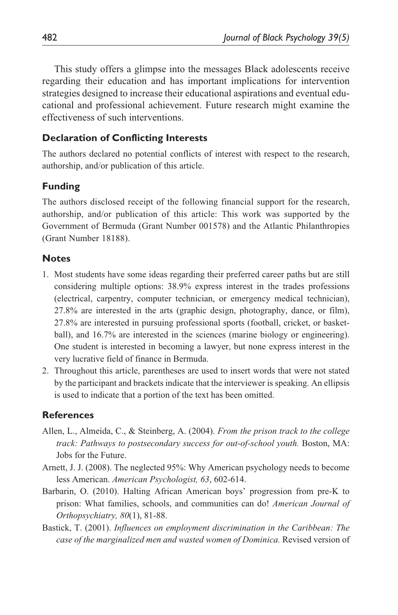This study offers a glimpse into the messages Black adolescents receive regarding their education and has important implications for intervention strategies designed to increase their educational aspirations and eventual educational and professional achievement. Future research might examine the effectiveness of such interventions.

### **Declaration of Conflicting Interests**

The authors declared no potential conflicts of interest with respect to the research, authorship, and/or publication of this article.

### **Funding**

The authors disclosed receipt of the following financial support for the research, authorship, and/or publication of this article: This work was supported by the Government of Bermuda (Grant Number 001578) and the Atlantic Philanthropies (Grant Number 18188).

#### **Notes**

- 1. Most students have some ideas regarding their preferred career paths but are still considering multiple options: 38.9% express interest in the trades professions (electrical, carpentry, computer technician, or emergency medical technician), 27.8% are interested in the arts (graphic design, photography, dance, or film), 27.8% are interested in pursuing professional sports (football, cricket, or basketball), and 16.7% are interested in the sciences (marine biology or engineering). One student is interested in becoming a lawyer, but none express interest in the very lucrative field of finance in Bermuda.
- 2. Throughout this article, parentheses are used to insert words that were not stated by the participant and brackets indicate that the interviewer is speaking. An ellipsis is used to indicate that a portion of the text has been omitted.

### **References**

- Allen, L., Almeida, C., & Steinberg, A. (2004). *From the prison track to the college track: Pathways to postsecondary success for out-of-school youth.* Boston, MA: Jobs for the Future.
- Arnett, J. J. (2008). The neglected 95%: Why American psychology needs to become less American. *American Psychologist, 63*, 602-614.
- Barbarin, O. (2010). Halting African American boys' progression from pre-K to prison: What families, schools, and communities can do! *American Journal of Orthopsychiatry, 80*(1), 81-88.
- Bastick, T. (2001). *Influences on employment discrimination in the Caribbean: The case of the marginalized men and wasted women of Dominica.* Revised version of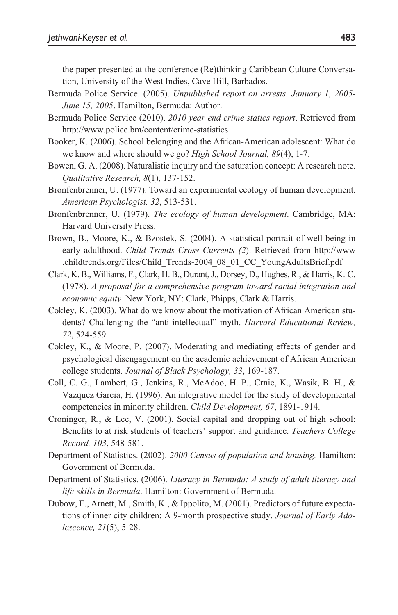the paper presented at the conference (Re)thinking Caribbean Culture Conversation, University of the West Indies, Cave Hill, Barbados.

- Bermuda Police Service. (2005). *Unpublished report on arrests. January 1, 2005- June 15, 2005*. Hamilton, Bermuda: Author.
- Bermuda Police Service (2010). *2010 year end crime statics report*. Retrieved from http://www.police.bm/content/crime-statistics
- Booker, K. (2006). School belonging and the African-American adolescent: What do we know and where should we go? *High School Journal, 89*(4), 1-7.
- Bowen, G. A. (2008). Naturalistic inquiry and the saturation concept: A research note. *Qualitative Research, 8*(1), 137-152.
- Bronfenbrenner, U. (1977). Toward an experimental ecology of human development. *American Psychologist, 32*, 513-531.
- Bronfenbrenner, U. (1979). *The ecology of human development*. Cambridge, MA: Harvard University Press.
- Brown, B., Moore, K., & Bzostek, S. (2004). A statistical portrait of well-being in early adulthood. *Child Trends Cross Currents (2*). Retrieved from http://www .childtrends.org/Files/Child\_Trends-2004\_08\_01\_CC\_YoungAdultsBrief.pdf
- Clark, K. B., Williams, F., Clark, H. B., Durant, J., Dorsey, D., Hughes, R., & Harris, K. C. (1978). *A proposal for a comprehensive program toward racial integration and economic equity.* New York, NY: Clark, Phipps, Clark & Harris.
- Cokley, K. (2003). What do we know about the motivation of African American students? Challenging the "anti-intellectual" myth. *Harvard Educational Review, 72*, 524-559.
- Cokley, K., & Moore, P. (2007). Moderating and mediating effects of gender and psychological disengagement on the academic achievement of African American college students. *Journal of Black Psychology, 33*, 169-187.
- Coll, C. G., Lambert, G., Jenkins, R., McAdoo, H. P., Crnic, K., Wasik, B. H., & Vazquez Garcia, H. (1996). An integrative model for the study of developmental competencies in minority children. *Child Development, 67*, 1891-1914.
- Croninger, R., & Lee, V. (2001). Social capital and dropping out of high school: Benefits to at risk students of teachers' support and guidance. *Teachers College Record, 103*, 548-581.
- Department of Statistics. (2002). *2000 Census of population and housing.* Hamilton: Government of Bermuda.
- Department of Statistics. (2006). *Literacy in Bermuda: A study of adult literacy and life-skills in Bermuda*. Hamilton: Government of Bermuda.
- Dubow, E., Arnett, M., Smith, K., & Ippolito, M. (2001). Predictors of future expectations of inner city children: A 9-month prospective study. *Journal of Early Adolescence, 21*(5), 5-28.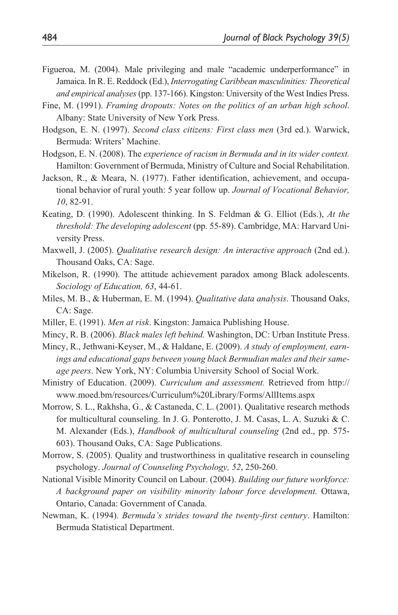- Figueroa, M. (2004). Male privileging and male "academic underperformance" in Jamaica. In R. E. Reddock (Ed.), *Interrogating Caribbean masculinities: Theoretical and empirical analyses* (pp. 137-166). Kingston: University of the West Indies Press.
- Fine, M. (1991). *Framing dropouts: Notes on the politics of an urban high school*. Albany: State University of New York Press.
- Hodgson, E. N. (1997). *Second class citizens: First class men* (3rd ed.). Warwick, Bermuda: Writers' Machine.
- Hodgson, E. N. (2008). The *experience of racism in Bermuda and in its wider context.* Hamilton: Government of Bermuda, Ministry of Culture and Social Rehabilitation.
- Jackson, R., & Meara, N. (1977). Father identification, achievement, and occupational behavior of rural youth: 5 year follow up. *Journal of Vocational Behavior, 10*, 82-91.
- Keating, D. (1990). Adolescent thinking. In S. Feldman & G. Elliot (Eds.), *At the threshold: The developing adolescent* (pp. 55-89). Cambridge, MA: Harvard University Press.
- Maxwell, J. (2005). *Qualitative research design: An interactive approach* (2nd ed.). Thousand Oaks, CA: Sage.
- Mikelson, R. (1990). The attitude achievement paradox among Black adolescents. *Sociology of Education, 63*, 44-61.
- Miles, M. B., & Huberman, E. M. (1994). *Qualitative data analysis*. Thousand Oaks, CA: Sage.
- Miller, E. (1991). *Men at risk*. Kingston: Jamaica Publishing House.
- Mincy, R. B. (2006). *Black males left behind.* Washington, DC: Urban Institute Press.
- Mincy, R., Jethwani-Keyser, M., & Haldane, E. (2009). *A study of employment, earnings and educational gaps between young black Bermudian males and their sameage peers*. New York, NY: Columbia University School of Social Work.
- Ministry of Education. (2009). *Curriculum and assessment.* Retrieved from http:// www.moed.bm/resources/Curriculum%20Library/Forms/AllItems.aspx
- Morrow, S. L., Rakhsha, G., & Castaneda, C. L. (2001). Qualitative research methods for multicultural counseling. In J. G. Ponterotto, J. M. Casas, L. A. Suzuki & C. M. Alexander (Eds.), *Handbook of multicultural counseling* (2nd ed., pp. 575- 603). Thousand Oaks, CA: Sage Publications.
- Morrow, S. (2005). Quality and trustworthiness in qualitative research in counseling psychology. *Journal of Counseling Psychology, 52*, 250-260.
- National Visible Minority Council on Labour. (2004). *Building our future workforce: A background paper on visibility minority labour force development.* Ottawa, Ontario, Canada: Government of Canada.
- Newman, K. (1994). *Bermuda's strides toward the twenty-first century*. Hamilton: Bermuda Statistical Department.